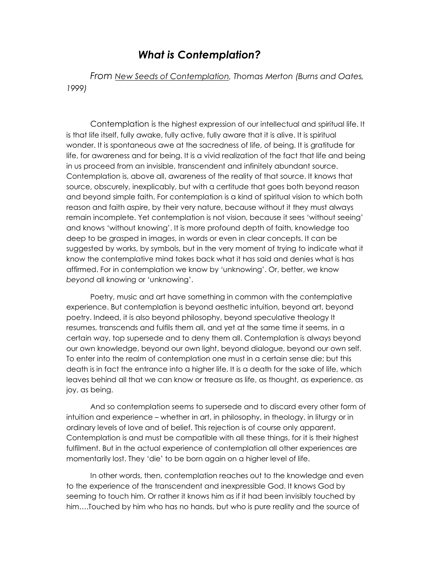## What is Contemplation?

From New Seeds of Contemplation, Thomas Merton (Burns and Oates, 1999)

Contemplation is the highest expression of our intellectual and spiritual life. It is that life itself, fully awake, fully active, fully aware that it is alive. It is spiritual wonder. It is spontaneous awe at the sacredness of life, of being. It is gratitude for life, for awareness and for being. It is a vivid realization of the fact that life and being in us proceed from an invisible, transcendent and infinitely abundant source. Contemplation is, above all, awareness of the reality of that source. It knows that source, obscurely, inexplicably, but with a certitude that goes both beyond reason and beyond simple faith. For contemplation is a kind of spiritual vision to which both reason and faith aspire, by their very nature, because without it they must always remain incomplete. Yet contemplation is not vision, because it sees 'without seeing' and knows 'without knowing'. It is more profound depth of faith, knowledge too deep to be grasped in images, in words or even in clear concepts. It can be suggested by works, by symbols, but in the very moment of trying to indicate what it know the contemplative mind takes back what it has said and denies what is has affirmed. For in contemplation we know by 'unknowing'. Or, better, we know beyond all knowing or 'unknowing'.

Poetry, music and art have something in common with the contemplative experience. But contemplation is beyond aesthetic intuition, beyond art, beyond poetry. Indeed, it is also beyond philosophy, beyond speculative theology It resumes, transcends and fulfils them all, and yet at the same time it seems, in a certain way, top supersede and to deny them all. Contemplation is always beyond our own knowledge, beyond our own light, beyond dialogue, beyond our own self. To enter into the realm of contemplation one must in a certain sense die; but this death is in fact the entrance into a higher life. It is a death for the sake of life, which leaves behind all that we can know or treasure as life, as thought, as experience, as joy, as being.

And so contemplation seems to supersede and to discard every other form of intuition and experience – whether in art, in philosophy, in theology, in liturgy or in ordinary levels of love and of belief. This rejection is of course only apparent. Contemplation is and must be compatible with all these things, for it is their highest fulfilment. But in the actual experience of contemplation all other experiences are momentarily lost. They 'die' to be born again on a higher level of life.

In other words, then, contemplation reaches out to the knowledge and even to the experience of the transcendent and inexpressible God. It knows God by seeming to touch him. Or rather it knows him as if it had been invisibly touched by him….Touched by him who has no hands, but who is pure reality and the source of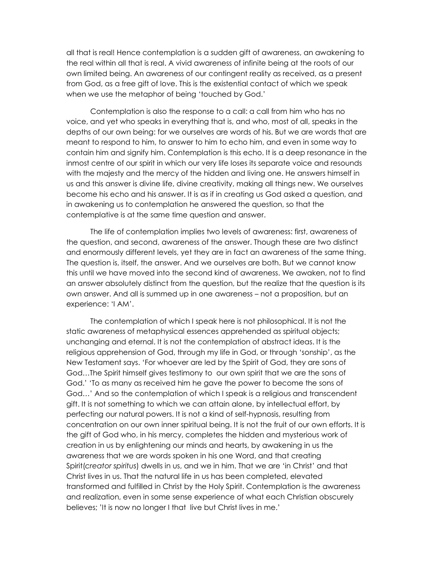all that is real! Hence contemplation is a sudden gift of awareness, an awakening to the real within all that is real. A vivid awareness of infinite being at the roots of our own limited being. An awareness of our contingent reality as received, as a present from God, as a free gift of love. This is the existential contact of which we speak when we use the metaphor of being 'touched by God.'

Contemplation is also the response to a call: a call from him who has no voice, and yet who speaks in everything that is, and who, most of all, speaks in the depths of our own being: for we ourselves are words of his. But we are words that are meant to respond to him, to answer to him to echo him, and even in some way to contain him and signify him. Contemplation is this echo. It is a deep resonance in the inmost centre of our spirit in which our very life loses its separate voice and resounds with the majesty and the mercy of the hidden and living one. He answers himself in us and this answer is divine life, divine creativity, making all things new. We ourselves become his echo and his answer. It is as if in creating us God asked a question, and in awakening us to contemplation he answered the question, so that the contemplative is at the same time question and answer.

The life of contemplation implies two levels of awareness: first, awareness of the question, and second, awareness of the answer. Though these are two distinct and enormously different levels, yet they are in fact an awareness of the same thing. The question is, itself, the answer. And we ourselves are both. But we cannot know this until we have moved into the second kind of awareness. We awaken, not to find an answer absolutely distinct from the question, but the realize that the question is its own answer. And all is summed up in one awareness – not a proposition, but an experience: 'I AM'.

The contemplation of which I speak here is not philosophical. It is not the static awareness of metaphysical essences apprehended as spiritual objects; unchanging and eternal. It is not the contemplation of abstract ideas. It is the religious apprehension of God, through my life in God, or through 'sonship', as the New Testament says. 'For whoever are led by the Spirit of God, they are sons of God…The Spirit himself gives testimony to our own spirit that we are the sons of God.' 'To as many as received him he gave the power to become the sons of God…' And so the contemplation of which I speak is a religious and transcendent gift. It is not something to which we can attain alone, by intellectual effort, by perfecting our natural powers. It is not a kind of self-hypnosis, resulting from concentration on our own inner spiritual being. It is not the fruit of our own efforts. It is the gift of God who, in his mercy, completes the hidden and mysterious work of creation in us by enlightening our minds and hearts, by awakening in us the awareness that we are words spoken in his one Word, and that creating Spirit(creator spiritus) dwells in us, and we in him. That we are 'in Christ' and that Christ lives in us. That the natural life in us has been completed, elevated transformed and fulfilled in Christ by the Holy Spirit. Contemplation is the awareness and realization, even in some sense experience of what each Christian obscurely believes; 'It is now no longer I that live but Christ lives in me.'